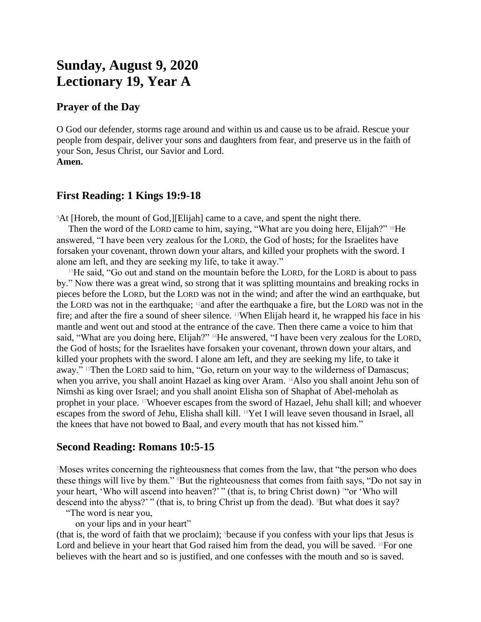# **Sunday, August 9, 2020 Lectionary 19, Year A**

## **Prayer of the Day**

O God our defender, storms rage around and within us and cause us to be afraid. Rescue your people from despair, deliver your sons and daughters from fear, and preserve us in the faith of your Son, Jesus Christ, our Savior and Lord. **Amen.**

# **First Reading: 1 Kings 19:9-18**

<sup>9</sup>At [Horeb, the mount of God,][Elijah] came to a cave, and spent the night there.

Then the word of the LORD came to him, saying, "What are you doing here, Elijah?" <sup>10</sup>He answered, "I have been very zealous for the LORD, the God of hosts; for the Israelites have forsaken your covenant, thrown down your altars, and killed your prophets with the sword. I alone am left, and they are seeking my life, to take it away."

<sup>11</sup>He said, "Go out and stand on the mountain before the LORD, for the LORD is about to pass by." Now there was a great wind, so strong that it was splitting mountains and breaking rocks in pieces before the LORD, but the LORD was not in the wind; and after the wind an earthquake, but the LORD was not in the earthquake; 12and after the earthquake a fire, but the LORD was not in the fire; and after the fire a sound of sheer silence. 13When Elijah heard it, he wrapped his face in his mantle and went out and stood at the entrance of the cave. Then there came a voice to him that said, "What are you doing here, Elijah?" <sup>14</sup>He answered, "I have been very zealous for the LORD, the God of hosts; for the Israelites have forsaken your covenant, thrown down your altars, and killed your prophets with the sword. I alone am left, and they are seeking my life, to take it away." <sup>15</sup>Then the LORD said to him, "Go, return on your way to the wilderness of Damascus; when you arrive, you shall anoint Hazael as king over Aram. 16Also you shall anoint Jehu son of Nimshi as king over Israel; and you shall anoint Elisha son of Shaphat of Abel-meholah as prophet in your place. 17Whoever escapes from the sword of Hazael, Jehu shall kill; and whoever escapes from the sword of Jehu, Elisha shall kill. 18Yet I will leave seven thousand in Israel, all the knees that have not bowed to Baal, and every mouth that has not kissed him."

### **Second Reading: Romans 10:5-15**

<sup>5</sup>Moses writes concerning the righteousness that comes from the law, that "the person who does these things will live by them." <sup>6</sup>But the righteousness that comes from faith says, "Do not say in your heart, 'Who will ascend into heaven?'" (that is, to bring Christ down)<sup>7"</sup> or 'Who will descend into the abyss?'" (that is, to bring Christ up from the dead). <sup>8</sup>But what does it say?

"The word is near you,

on your lips and in your heart"

(that is, the word of faith that we proclaim); 9because if you confess with your lips that Jesus is Lord and believe in your heart that God raised him from the dead, you will be saved.  $^{10}$ For one believes with the heart and so is justified, and one confesses with the mouth and so is saved.